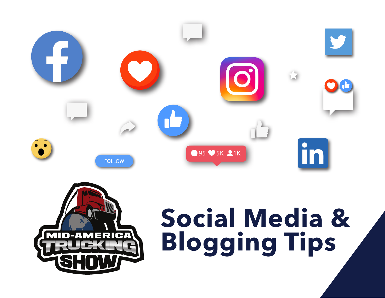



# **Social Media & Blogging Tips**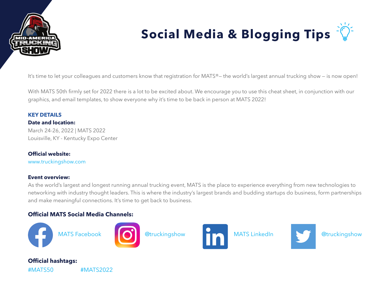

# **Social Media & Blogging Tips**

It's time to let your colleagues and customers know that registration for MATS®— the world's largest annual trucking show — is now open!

With MATS 50th firmly set for 2022 there is a lot to be excited about. We encourage you to use this cheat sheet, in conjunction with our graphics, and email templates, to show everyone why it's time to be back in person at MATS 2022!

#### **KEY DETAILS Date and location:**

March 24-26, 2022 | MATS 2022 Louisville, KY - Kentucky Expo Center

#### **Official website:**

[www.truckingshow.com](http://www.truckingshow.com )

#### **Event overview:**

As the world's largest and longest running annual trucking event, MATS is the place to experience everything from new technologies to networking with industry thought leaders. This is where the industry's largest brands and budding startups do business, form partnerships and make meaningful connections. It's time to get back to business.

#### **Official MATS Social Media Channels:**

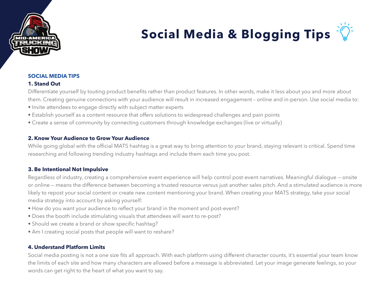

## **Social Media & Blogging Tips**

#### **SOCIAL MEDIA TIPS**

#### **1. Stand Out**

Differentiate yourself by touting product benefits rather than product features. In other words, make it less about you and more about them. Creating genuine connections with your audience will result in increased engagement – online and in-person. Use social media to:

- Invite attendees to engage directly with subject matter experts
- Establish yourself as a content resource that offers solutions to widespread challenges and pain points
- Create a sense of community by connecting customers through knowledge exchanges (live or virtually)

#### **2. Know Your Audience to Grow Your Audience**

While going global with the official MATS hashtag is a great way to bring attention to your brand, staying relevant is critical. Spend time researching and following trending industry hashtags and include them each time you post.

#### **3. Be Intentional Not Impulsive**

Regardless of industry, creating a comprehensive event experience will help control post-event narratives. Meaningful dialogue — onsite or online — means the difference between becoming a trusted resource versus just another sales pitch. And a stimulated audience is more likely to repost your social content or create new content mentioning your brand. When creating your MATS strategy, take your social media strategy into account by asking yourself:

- How do you want your audience to reflect your brand in the moment and post-event?
- Does the booth include stimulating visuals that attendees will want to re-post?
- Should we create a brand or show specific hashtag?
- Am I creating social posts that people will want to reshare?

#### **4. Understand Platform Limits**

Social media posting is not a one size fits all approach. With each platform using different character counts, it's essential your team know the limits of each site and how many characters are allowed before a message is abbreviated. Let your image generate feelings, so your words can get right to the heart of what you want to say.